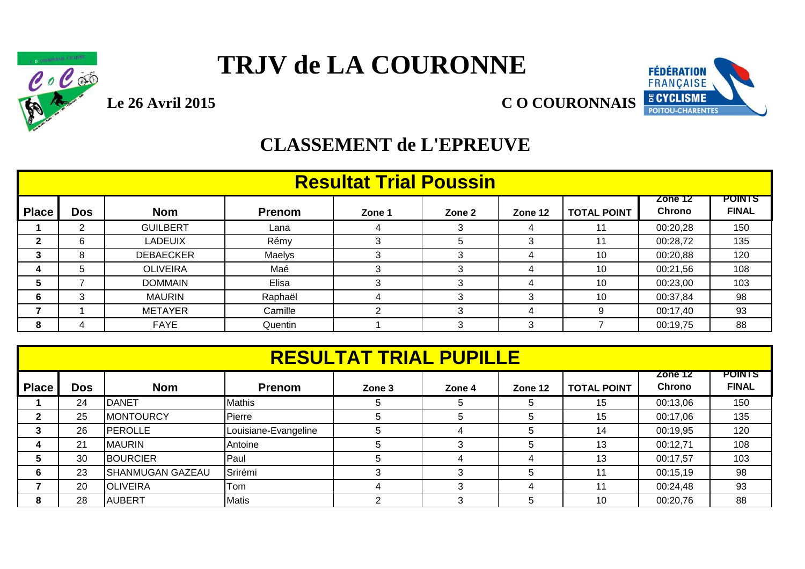

### **TRJV de LA COURONNE**



#### **CLASSEMENT de L'EPREUVE**

|              | <b>Resultat Trial Poussin</b> |                          |                               |   |   |   |    |          |     |  |  |  |
|--------------|-------------------------------|--------------------------|-------------------------------|---|---|---|----|----------|-----|--|--|--|
| <b>Place</b> | <b>TOTAL POINT</b>            | Zone 12<br><b>Chrono</b> | <b>POINTS</b><br><b>FINAL</b> |   |   |   |    |          |     |  |  |  |
|              | 2                             | <b>GUILBERT</b>          | Lana                          |   |   |   | 11 | 00:20,28 | 150 |  |  |  |
| 2            | 6                             | <b>LADEUIX</b>           | Rémy                          | 3 | 5 |   | 11 | 00:28,72 | 135 |  |  |  |
| 3            | 8                             | <b>DEBAECKER</b>         | Maelys                        | 3 | 3 |   | 10 | 00:20,88 | 120 |  |  |  |
| 4            | 5                             | <b>OLIVEIRA</b>          | Maé                           | 3 | 3 |   | 10 | 00:21,56 | 108 |  |  |  |
| 5            |                               | <b>DOMMAIN</b>           | Elisa                         | 3 | 3 |   | 10 | 00:23,00 | 103 |  |  |  |
| 6            | 3                             | <b>MAURIN</b>            | Raphaël                       | 4 | 3 |   | 10 | 00:37,84 | 98  |  |  |  |
| ⇁            |                               | <b>METAYER</b>           | Camille                       | ົ | 3 |   |    | 00:17,40 | 93  |  |  |  |
| 8            | 4                             | <b>FAYE</b>              | Quentin                       |   | 3 | 3 |    | 00:19,75 | 88  |  |  |  |

|                                                                                                                                            | <b>RESULTAT TRIAL PUPILLE</b><br><b>POINTS</b> |                         |                      |   |    |              |    |          |     |  |  |
|--------------------------------------------------------------------------------------------------------------------------------------------|------------------------------------------------|-------------------------|----------------------|---|----|--------------|----|----------|-----|--|--|
| Zone 12<br><b>Chrono</b><br><b>Place</b><br><b>Nom</b><br><b>Dos</b><br><b>Prenom</b><br><b>TOTAL POINT</b><br>Zone 3<br>Zone 4<br>Zone 12 |                                                |                         |                      |   |    |              |    |          |     |  |  |
|                                                                                                                                            | 24                                             | <b>IDANET</b>           | <b>Mathis</b>        |   | 5. | 5            | 15 | 00:13,06 | 150 |  |  |
| $\mathbf{2}$                                                                                                                               | 25                                             | <b>MONTOURCY</b>        | Pierre               |   | 5. | 5            | 15 | 00:17,06 | 135 |  |  |
| 3                                                                                                                                          | 26                                             | <b>PEROLLE</b>          | Louisiane-Evangeline |   | 4  | $\mathbf{b}$ | 14 | 00:19,95 | 120 |  |  |
| 4                                                                                                                                          | 21                                             | <b>MAURIN</b>           | Antoine              |   | 3  | 5            | 13 | 00:12,71 | 108 |  |  |
| 5                                                                                                                                          | 30                                             | <b>BOURCIER</b>         | Paul                 |   | 4  | Δ            | 13 | 00:17,57 | 103 |  |  |
| 6                                                                                                                                          | 23                                             | <b>SHANMUGAN GAZEAU</b> | Srirémi              |   | 3  | 5            | 11 | 00:15,19 | 98  |  |  |
|                                                                                                                                            | 20                                             | <b>OLIVEIRA</b>         | Tom                  |   | 3  | 4            | 11 | 00:24,48 | 93  |  |  |
| 8                                                                                                                                          | 28                                             | <b>AUBERT</b>           | <b>Matis</b>         | C | 3  | 5            | 10 | 00:20,76 | 88  |  |  |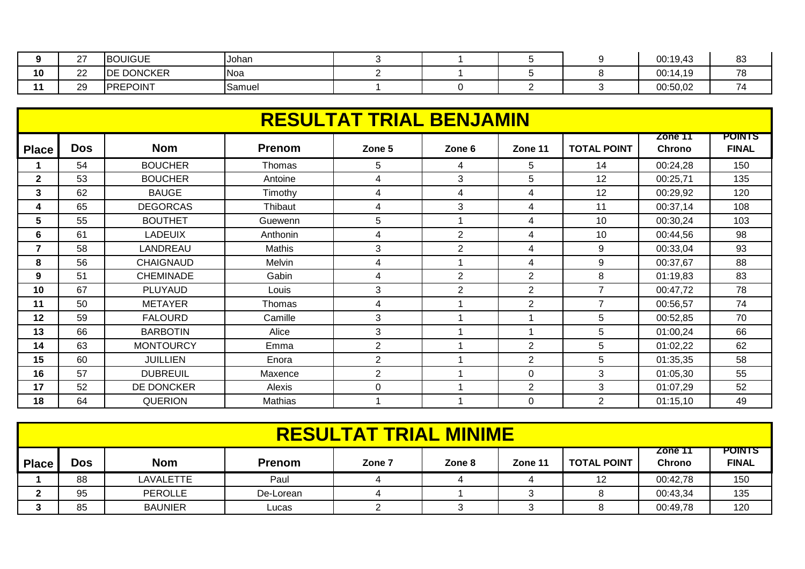|    | $\sim$<br><u>_</u> | <b>BOUIGUE</b>    | <b>IJohan</b> |  |  | 00:19,43 | n c<br>ັບ |
|----|--------------------|-------------------|---------------|--|--|----------|-----------|
| 10 | $\sim$<br>∠∠       | <b>DE DONCKER</b> | Noa           |  |  | 00:14,19 | 70<br>, J |
|    | 29                 | <b>PREPOINT</b>   | Samuel        |  |  | 00:50,02 |           |

|                | <b>RESULTAT TRIAL BENJAMIN</b> |                  |               |                |                |                |                    |                          |                               |  |  |  |
|----------------|--------------------------------|------------------|---------------|----------------|----------------|----------------|--------------------|--------------------------|-------------------------------|--|--|--|
| <b>Place</b>   | <b>Dos</b>                     | <b>Nom</b>       | <b>Prenom</b> | Zone 5         | Zone 6         | Zone 11        | <b>TOTAL POINT</b> | Zone 11<br><b>Chrono</b> | <b>POINTS</b><br><b>FINAL</b> |  |  |  |
|                | 54                             | <b>BOUCHER</b>   | Thomas        | 5              | 4              | 5.             | 14                 | 00:24,28                 | 150                           |  |  |  |
| $\mathbf{2}$   | 53                             | <b>BOUCHER</b>   | Antoine       | 4              | 3              | 5              | 12                 | 00:25,71                 | 135                           |  |  |  |
| 3              | 62                             | <b>BAUGE</b>     | Timothy       | 4              | 4              | 4              | 12                 | 00:29,92                 | 120                           |  |  |  |
| 4              | 65                             | <b>DEGORCAS</b>  | Thibaut       | 4              | 3              | 4              | 11                 | 00:37,14                 | 108                           |  |  |  |
| 5              | 55                             | <b>BOUTHET</b>   | Guewenn       | 5              |                | 4              | 10                 | 00:30,24                 | 103                           |  |  |  |
| 6              | 61                             | <b>LADEUIX</b>   | Anthonin      | 4              | $\overline{2}$ | 4              | 10                 | 00:44,56                 | 98                            |  |  |  |
| $\overline{7}$ | 58                             | LANDREAU         | Mathis        | 3              | $\overline{2}$ | 4              | 9                  | 00:33,04                 | 93                            |  |  |  |
| 8              | 56                             | <b>CHAIGNAUD</b> | Melvin        | 4              |                | 4              | 9                  | 00:37,67                 | 88                            |  |  |  |
| 9              | 51                             | <b>CHEMINADE</b> | Gabin         | 4              | $\overline{2}$ | $\overline{2}$ | 8                  | 01:19,83                 | 83                            |  |  |  |
| 10             | 67                             | PLUYAUD          | Louis         | 3              | $\overline{2}$ | $\overline{2}$ | 7                  | 00:47,72                 | 78                            |  |  |  |
| 11             | 50                             | <b>METAYER</b>   | Thomas        | 4              |                | $\overline{2}$ | $\overline{7}$     | 00:56,57                 | 74                            |  |  |  |
| 12             | 59                             | <b>FALOURD</b>   | Camille       | 3              |                |                | 5                  | 00:52,85                 | 70                            |  |  |  |
| 13             | 66                             | <b>BARBOTIN</b>  | Alice         | 3              |                |                | 5                  | 01:00,24                 | 66                            |  |  |  |
| 14             | 63                             | <b>MONTOURCY</b> | Emma          | $\overline{2}$ |                | $\overline{2}$ | 5                  | 01:02,22                 | 62                            |  |  |  |
| 15             | 60                             | <b>JUILLIEN</b>  | Enora         | $\overline{2}$ |                | $\overline{2}$ | 5                  | 01:35,35                 | 58                            |  |  |  |
| 16             | 57                             | <b>DUBREUIL</b>  | Maxence       | $\overline{2}$ |                | $\Omega$       | 3                  | 01:05,30                 | 55                            |  |  |  |
| 17             | 52                             | DE DONCKER       | Alexis        | 0              |                | $\overline{2}$ | 3                  | 01:07,29                 | 52                            |  |  |  |
| 18             | 64                             | <b>QUERION</b>   | Mathias       |                |                | $\Omega$       | 2                  | 01:15,10                 | 49                            |  |  |  |

|              | <b>RESULTAT TRIAL MINIME</b>                                                                                                                                |                |           |  |  |  |    |          |     |  |  |
|--------------|-------------------------------------------------------------------------------------------------------------------------------------------------------------|----------------|-----------|--|--|--|----|----------|-----|--|--|
| <b>Place</b> | <b>POINTS</b><br>Zone 11<br><b>Nom</b><br><b>Dos</b><br><b>FINAL</b><br><b>Prenom</b><br><b>TOTAL POINT</b><br><b>Chrono</b><br>Zone 11<br>Zone 8<br>Zone 7 |                |           |  |  |  |    |          |     |  |  |
|              | 88                                                                                                                                                          | LAVALETTE      | Paul      |  |  |  | 12 | 00:42,78 | 150 |  |  |
|              | 95                                                                                                                                                          | <b>PEROLLE</b> | De-Lorean |  |  |  |    | 00:43,34 | 135 |  |  |
|              | 85                                                                                                                                                          | <b>BAUNIER</b> | Lucas     |  |  |  |    | 00:49,78 | 120 |  |  |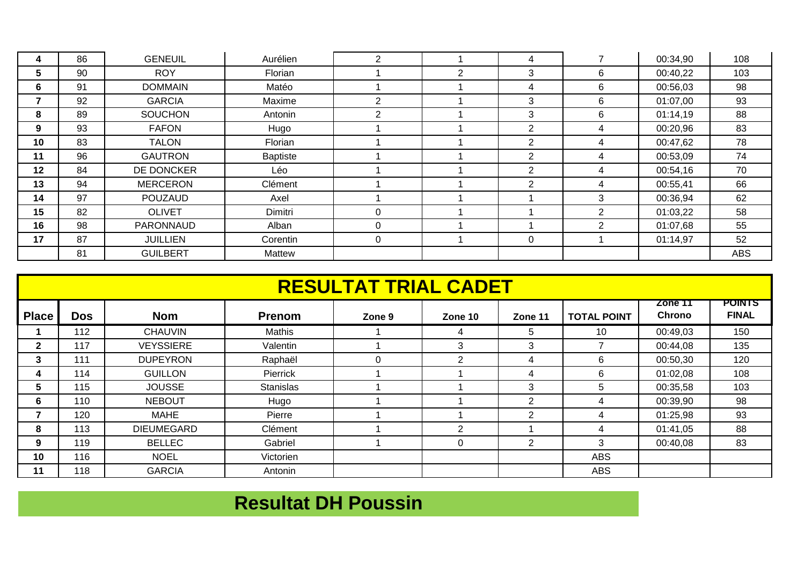|    | 86 | <b>GENEUIL</b>  | Aurélien | 2              |                |                |                | 00:34,90 | 108        |
|----|----|-----------------|----------|----------------|----------------|----------------|----------------|----------|------------|
| 5  | 90 | <b>ROY</b>      | Florian  |                | $\overline{2}$ | 3              | 6              | 00:40,22 | 103        |
| 6  | 91 | <b>DOMMAIN</b>  | Matéo    |                |                | 4              | 6              | 00:56,03 | 98         |
|    | 92 | <b>GARCIA</b>   | Maxime   | $\overline{2}$ |                | 3              | 6              | 01:07,00 | 93         |
| 8  | 89 | <b>SOUCHON</b>  | Antonin  | 2              |                | 3              | 6              | 01:14,19 | 88         |
| 9  | 93 | <b>FAFON</b>    | Hugo     |                |                | $\overline{2}$ | 4              | 00:20,96 | 83         |
| 10 | 83 | <b>TALON</b>    | Florian  |                |                | 2              | 4              | 00:47,62 | 78         |
| 11 | 96 | <b>GAUTRON</b>  | Baptiste |                |                | $\overline{2}$ | 4              | 00:53,09 | 74         |
| 12 | 84 | DE DONCKER      | Léo      |                |                | $\overline{2}$ | 4              | 00:54,16 | 70         |
| 13 | 94 | <b>MERCERON</b> | Clément  |                |                | $\overline{2}$ | 4              | 00:55,41 | 66         |
| 14 | 97 | <b>POUZAUD</b>  | Axel     |                |                |                | 3              | 00:36,94 | 62         |
| 15 | 82 | <b>OLIVET</b>   | Dimitri  | $\Omega$       |                |                | $\overline{2}$ | 01:03,22 | 58         |
| 16 | 98 | PARONNAUD       | Alban    | 0              |                |                | $\overline{2}$ | 01:07,68 | 55         |
| 17 | 87 | <b>JUILLIEN</b> | Corentin | $\mathbf 0$    |                | $\Omega$       |                | 01:14,97 | 52         |
|    | 81 | <b>GUILBERT</b> | Mattew   |                |                |                |                |          | <b>ABS</b> |

|              |            |                   |                  | <b>RESULTAT TRIAL CADET</b> |                |                |                    |                          |                               |
|--------------|------------|-------------------|------------------|-----------------------------|----------------|----------------|--------------------|--------------------------|-------------------------------|
| <b>Place</b> | <b>Dos</b> | <b>Nom</b>        | <b>Prenom</b>    | Zone 9                      | Zone 10        | Zone 11        | <b>TOTAL POINT</b> | Zone 11<br><b>Chrono</b> | <b>POINTS</b><br><b>FINAL</b> |
|              | 112        | <b>CHAUVIN</b>    | Mathis           |                             | 4              | 5              | 10                 | 00:49,03                 | 150                           |
| $\mathbf{2}$ | 117        | <b>VEYSSIERE</b>  | Valentin         |                             | 3              | 3              |                    | 00:44,08                 | 135                           |
| 3            | 111        | <b>DUPEYRON</b>   | Raphaël          | $\Omega$                    | $\overline{2}$ | 4              | 6                  | 00:50,30                 | 120                           |
| 4            | 114        | <b>GUILLON</b>    | Pierrick         |                             |                | 4              | 6                  | 01:02,08                 | 108                           |
| 5            | 115        | <b>JOUSSE</b>     | <b>Stanislas</b> |                             |                | 3              | 5.                 | 00:35,58                 | 103                           |
| 6            | 110        | <b>NEBOUT</b>     | Hugo             |                             |                | $\overline{2}$ | 4                  | 00:39,90                 | 98                            |
|              | 120        | <b>MAHE</b>       | Pierre           |                             |                | 2              | 4                  | 01:25,98                 | 93                            |
| 8            | 113        | <b>DIEUMEGARD</b> | Clément          |                             | 2              |                | 4                  | 01:41,05                 | 88                            |
| 9            | 119        | <b>BELLEC</b>     | Gabriel          |                             | 0              | $\overline{2}$ | 3                  | 00:40,08                 | 83                            |
| 10           | 116        | <b>NOEL</b>       | Victorien        |                             |                |                | <b>ABS</b>         |                          |                               |
| 11           | 118        | <b>GARCIA</b>     | Antonin          |                             |                |                | <b>ABS</b>         |                          |                               |

### **Resultat DH Poussin**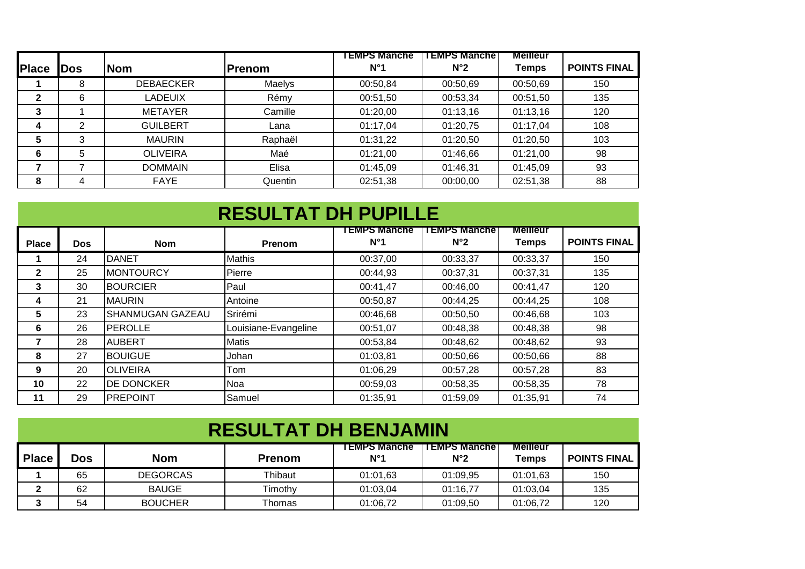|              |     |                  |               | <b>EMPS Manche</b> | <b>TEMPS Manche</b> | <b>Meilleur</b> |                     |
|--------------|-----|------------------|---------------|--------------------|---------------------|-----------------|---------------------|
| <b>Place</b> | Dos | <b>Nom</b>       | <b>Prenom</b> | $N^{\circ}1$       | $N^{\circ}2$        | <b>Temps</b>    | <b>POINTS FINAL</b> |
|              | 8   | <b>DEBAECKER</b> | Maelys        | 00:50,84           | 00:50,69            | 00:50,69        | 150                 |
| 2            | 6   | <b>LADEUIX</b>   | Rémy          | 00:51,50           | 00:53,34            | 00:51,50        | 135                 |
| 3            |     | <b>METAYER</b>   | Camille       | 01:20,00           | 01:13,16            | 01:13,16        | 120                 |
| 4            | ⌒   | <b>GUILBERT</b>  | Lana          | 01:17,04           | 01:20,75            | 01:17.04        | 108                 |
| 5            | 3   | <b>MAURIN</b>    | Raphaël       | 01:31,22           | 01:20,50            | 01:20,50        | 103                 |
| 6            | 5   | <b>OLIVEIRA</b>  | Maé           | 01:21,00           | 01:46,66            | 01:21,00        | 98                  |
|              |     | <b>DOMMAIN</b>   | Elisa         | 01:45,09           | 01:46,31            | 01:45.09        | 93                  |
| 8            | 4   | <b>FAYE</b>      | Quentin       | 02:51,38           | 00:00,00            | 02:51,38        | 88                  |

|              | <b>RESULTAT DH PUPILLE</b> |                         |                      |                                    |                                     |                          |                     |  |  |  |  |
|--------------|----------------------------|-------------------------|----------------------|------------------------------------|-------------------------------------|--------------------------|---------------------|--|--|--|--|
| <b>Place</b> | Dos                        | <b>Nom</b>              | Prenom               | <b>EMPS Manche</b><br>$N^{\circ}1$ | <b>TEMPS Manche</b><br>$N^{\circ}2$ | <b>Meilleur</b><br>Temps | <b>POINTS FINAL</b> |  |  |  |  |
|              | 24                         | <b>IDANET</b>           | <b>Mathis</b>        | 00:37,00                           | 00:33,37                            | 00:33,37                 | 150                 |  |  |  |  |
| $\mathbf{2}$ | 25                         | <b>MONTOURCY</b>        | Pierre               | 00:44,93                           | 00:37,31                            | 00:37,31                 | 135                 |  |  |  |  |
| 3            | 30                         | <b>BOURCIER</b>         | Paul                 | 00:41,47                           | 00:46,00                            | 00:41,47                 | 120                 |  |  |  |  |
| 4            | 21                         | <b>MAURIN</b>           | Antoine              | 00:50,87                           | 00:44,25                            | 00:44,25                 | 108                 |  |  |  |  |
| 5            | 23                         | <b>SHANMUGAN GAZEAU</b> | Srirémi              | 00:46,68                           | 00:50,50                            | 00:46,68                 | 103                 |  |  |  |  |
| 6            | 26                         | <b>PEROLLE</b>          | Louisiane-Evangeline | 00:51,07                           | 00:48,38                            | 00:48,38                 | 98                  |  |  |  |  |
| 7            | 28                         | <b>AUBERT</b>           | <b>Matis</b>         | 00:53,84                           | 00:48,62                            | 00:48,62                 | 93                  |  |  |  |  |
| 8            | 27                         | <b>BOUIGUE</b>          | Johan                | 01:03,81                           | 00:50,66                            | 00:50,66                 | 88                  |  |  |  |  |
| 9            | 20                         | <b>OLIVEIRA</b>         | Tom                  | 01:06,29                           | 00:57,28                            | 00:57,28                 | 83                  |  |  |  |  |
| 10           | 22                         | <b>DE DONCKER</b>       | Noa                  | 00:59,03                           | 00:58,35                            | 00:58,35                 | 78                  |  |  |  |  |
| 11           | 29                         | <b>PREPOINT</b>         | Samuel               | 01:35,91                           | 01:59,09                            | 01:35.91                 | 74                  |  |  |  |  |

| <b>RESULTAT DH BENJAMIN</b> |            |                 |               |                                     |                                      |                          |                     |  |  |  |
|-----------------------------|------------|-----------------|---------------|-------------------------------------|--------------------------------------|--------------------------|---------------------|--|--|--|
| <b>Place</b>                | <b>Dos</b> | <b>Nom</b>      | <b>Prenom</b> | <b>TEMPS Manche</b><br>$N^{\circ}1$ | <b>TEMPS Manchel</b><br>$N^{\circ}2$ | <b>Meilleur</b><br>Temps | <b>POINTS FINAL</b> |  |  |  |
|                             | 65         | <b>DEGORCAS</b> | Thibaut       | 01:01,63                            | 01:09,95                             | 01:01,63                 | 150                 |  |  |  |
|                             | 62         | <b>BAUGE</b>    | Timothv       | 01:03,04                            | 01:16,77                             | 01:03,04                 | 135                 |  |  |  |
|                             | 54         | <b>BOUCHER</b>  | Thomas        | 01:06.72                            | 01:09,50                             | 01:06,72                 | 120                 |  |  |  |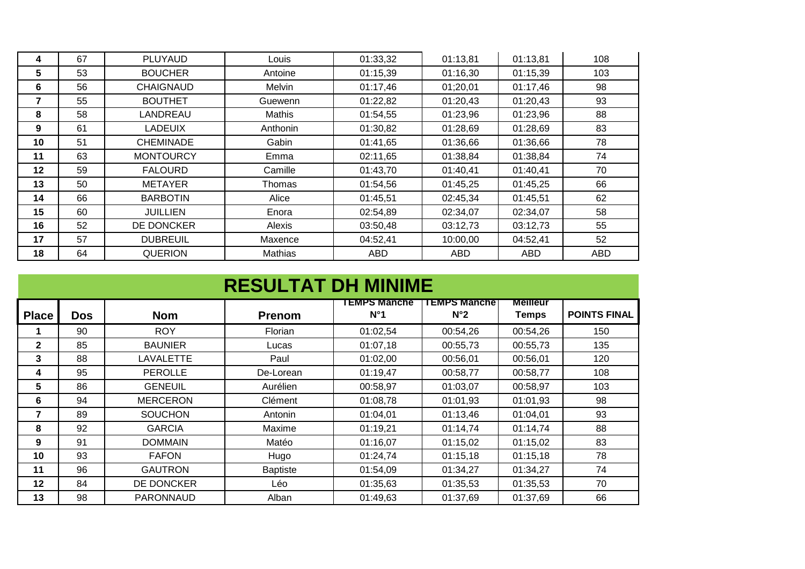| 4       | 67 | <b>PLUYAUD</b>   | Louis    | 01:33,32 | 01:13,81 | 01:13,81 | 108        |
|---------|----|------------------|----------|----------|----------|----------|------------|
| 5       | 53 | <b>BOUCHER</b>   | Antoine  | 01:15,39 | 01:16,30 | 01:15,39 | 103        |
| 6       | 56 | <b>CHAIGNAUD</b> | Melvin   | 01:17,46 | 01;20,01 | 01:17,46 | 98         |
|         | 55 | <b>BOUTHET</b>   | Guewenn  | 01:22,82 | 01:20,43 | 01:20,43 | 93         |
| 8       | 58 | LANDREAU         | Mathis   | 01:54,55 | 01:23,96 | 01:23,96 | 88         |
| 9       | 61 | <b>LADEUIX</b>   | Anthonin | 01:30,82 | 01:28,69 | 01:28,69 | 83         |
| 10      | 51 | <b>CHEMINADE</b> | Gabin    | 01:41,65 | 01:36,66 | 01:36,66 | 78         |
| 11      | 63 | <b>MONTOURCY</b> | Emma     | 02:11,65 | 01:38,84 | 01:38,84 | 74         |
| $12 \,$ | 59 | <b>FALOURD</b>   | Camille  | 01:43,70 | 01:40,41 | 01:40,41 | 70         |
| 13      | 50 | <b>METAYER</b>   | Thomas   | 01:54,56 | 01:45,25 | 01:45,25 | 66         |
| 14      | 66 | <b>BARBOTIN</b>  | Alice    | 01:45,51 | 02:45,34 | 01:45,51 | 62         |
| 15      | 60 | <b>JUILLIEN</b>  | Enora    | 02:54,89 | 02:34,07 | 02:34,07 | 58         |
| 16      | 52 | DE DONCKER       | Alexis   | 03:50,48 | 03:12,73 | 03:12,73 | 55         |
| 17      | 57 | <b>DUBREUIL</b>  | Maxence  | 04:52,41 | 10:00,00 | 04:52,41 | 52         |
| 18      | 64 | <b>QUERION</b>   | Mathias  | ABD      | ABD      | ABD      | <b>ABD</b> |

|              | <b>RESULTAT DH MINIME</b> |                  |                 |                                     |                                     |                                 |                     |  |  |  |
|--------------|---------------------------|------------------|-----------------|-------------------------------------|-------------------------------------|---------------------------------|---------------------|--|--|--|
| <b>Place</b> | <b>Dos</b>                | <b>Nom</b>       | <b>Prenom</b>   | <b>TEMPS Manche</b><br>$N^{\circ}1$ | <b>TEMPS Manche</b><br>$N^{\circ}2$ | <b>Meilleur</b><br><b>Temps</b> | <b>POINTS FINAL</b> |  |  |  |
|              | 90                        | <b>ROY</b>       | Florian         | 01:02,54                            | 00:54,26                            | 00:54,26                        | 150                 |  |  |  |
| $\mathbf{2}$ | 85                        | <b>BAUNIER</b>   | Lucas           | 01:07,18                            | 00:55,73                            | 00:55,73                        | 135                 |  |  |  |
| 3            | 88                        | LAVALETTE        | Paul            | 01:02,00                            | 00:56,01                            | 00:56,01                        | 120                 |  |  |  |
| 4            | 95                        | <b>PEROLLE</b>   | De-Lorean       | 01:19,47                            | 00:58,77                            | 00:58,77                        | 108                 |  |  |  |
| 5            | 86                        | <b>GENEUIL</b>   | Aurélien        | 00:58,97                            | 01:03,07                            | 00:58,97                        | 103                 |  |  |  |
| 6            | 94                        | <b>MERCERON</b>  | Clément         | 01:08,78                            | 01:01,93                            | 01:01,93                        | 98                  |  |  |  |
| 7            | 89                        | SOUCHON          | Antonin         | 01:04,01                            | 01:13,46                            | 01:04,01                        | 93                  |  |  |  |
| 8            | 92                        | <b>GARCIA</b>    | Maxime          | 01:19,21                            | 01:14,74                            | 01:14,74                        | 88                  |  |  |  |
| 9            | 91                        | <b>DOMMAIN</b>   | Matéo           | 01:16,07                            | 01:15,02                            | 01:15,02                        | 83                  |  |  |  |
| 10           | 93                        | <b>FAFON</b>     | Hugo            | 01:24,74                            | 01:15,18                            | 01:15,18                        | 78                  |  |  |  |
| 11           | 96                        | <b>GAUTRON</b>   | <b>Baptiste</b> | 01:54,09                            | 01:34,27                            | 01:34,27                        | 74                  |  |  |  |
| 12           | 84                        | DE DONCKER       | Léo             | 01:35,63                            | 01:35,53                            | 01:35,53                        | 70                  |  |  |  |
| 13           | 98                        | <b>PARONNAUD</b> | Alban           | 01:49,63                            | 01:37.69                            | 01:37,69                        | 66                  |  |  |  |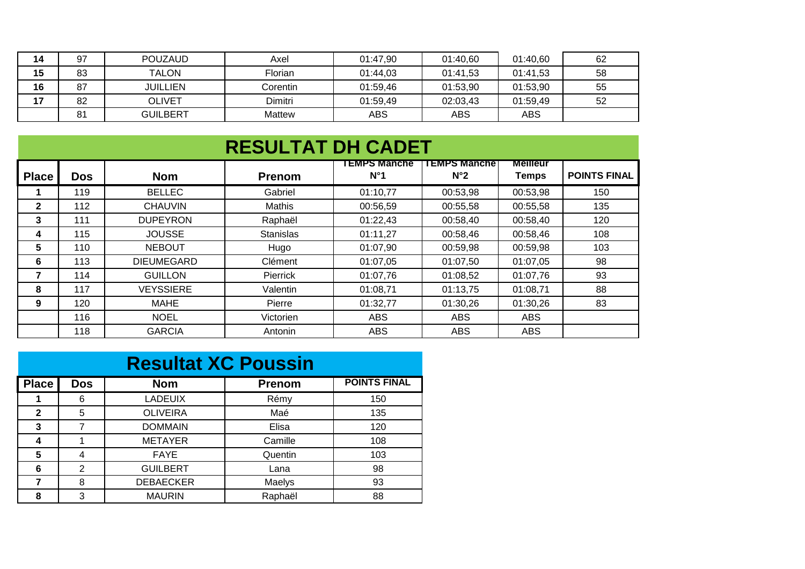| 14 | 97 | <b>POUZAUD</b>  | Axel          | 01:47.90 | 01:40,60   | 01:40.60   | 62 |
|----|----|-----------------|---------------|----------|------------|------------|----|
| 15 | 83 | <b>TALON</b>    | Florian       | 01:44,03 | 01:41,53   | 01:41.53   | 58 |
| 16 | 87 | <b>JUILLIEN</b> | Corentin      | 01:59.46 | 01:53,90   | 01:53,90   | 55 |
| 17 | 82 | <b>OLIVET</b>   | Dimitri       | 01:59,49 | 02:03,43   | 01:59,49   | 52 |
|    | 81 | <b>GUILBERT</b> | <b>Mattew</b> | ABS      | <b>ABS</b> | <b>ABS</b> |    |

|              | <b>RESULTAT DH CADET</b> |                   |                  |                               |                                     |                                 |                     |  |  |  |
|--------------|--------------------------|-------------------|------------------|-------------------------------|-------------------------------------|---------------------------------|---------------------|--|--|--|
| <b>Place</b> | <b>Dos</b>               | <b>Nom</b>        | <b>Prenom</b>    | I EMPS Manche<br>$N^{\circ}1$ | <b>TEMPS Manche</b><br>$N^{\circ}2$ | <b>Meilleur</b><br><b>Temps</b> | <b>POINTS FINAL</b> |  |  |  |
|              | 119                      | <b>BELLEC</b>     | Gabriel          | 01:10,77                      | 00:53,98                            | 00:53,98                        | 150                 |  |  |  |
| $\mathbf{2}$ | 112                      | <b>CHAUVIN</b>    | Mathis           | 00:56,59                      | 00:55,58                            | 00:55,58                        | 135                 |  |  |  |
| 3            | 111                      | <b>DUPEYRON</b>   | Raphaël          | 01:22,43                      | 00:58,40                            | 00:58,40                        | 120                 |  |  |  |
| 4            | 115                      | <b>JOUSSE</b>     | <b>Stanislas</b> | 01:11,27                      | 00:58,46                            | 00:58,46                        | 108                 |  |  |  |
| 5            | 110                      | <b>NEBOUT</b>     | Hugo             | 01:07,90                      | 00:59,98                            | 00:59,98                        | 103                 |  |  |  |
| 6            | 113                      | <b>DIEUMEGARD</b> | Clément          | 01:07,05                      | 01:07,50                            | 01:07,05                        | 98                  |  |  |  |
|              | 114                      | <b>GUILLON</b>    | Pierrick         | 01:07,76                      | 01:08,52                            | 01:07,76                        | 93                  |  |  |  |
| 8            | 117                      | <b>VEYSSIERE</b>  | Valentin         | 01:08,71                      | 01:13,75                            | 01:08,71                        | 88                  |  |  |  |
| 9            | 120                      | MAHE              | Pierre           | 01:32,77                      | 01:30,26                            | 01:30,26                        | 83                  |  |  |  |
|              | 116                      | <b>NOEL</b>       | Victorien        | ABS                           | <b>ABS</b>                          | <b>ABS</b>                      |                     |  |  |  |
|              | 118                      | <b>GARCIA</b>     | Antonin          | <b>ABS</b>                    | <b>ABS</b>                          | <b>ABS</b>                      |                     |  |  |  |

|              | <b>Resultat XC Poussin</b> |                  |               |                     |  |  |  |  |  |
|--------------|----------------------------|------------------|---------------|---------------------|--|--|--|--|--|
| <b>Place</b> | <b>Dos</b>                 | <b>Nom</b>       | <b>Prenom</b> | <b>POINTS FINAL</b> |  |  |  |  |  |
|              | 6                          | <b>LADEUIX</b>   | Rémy          | 150                 |  |  |  |  |  |
| $\mathbf{2}$ | 5                          | <b>OLIVEIRA</b>  | Maé           | 135                 |  |  |  |  |  |
| 3            | 7                          | <b>DOMMAIN</b>   | Elisa         | 120                 |  |  |  |  |  |
| 4            |                            | <b>METAYER</b>   | Camille       | 108                 |  |  |  |  |  |
| 5            | 4                          | <b>FAYE</b>      | Quentin       | 103                 |  |  |  |  |  |
| 6            | 2                          | <b>GUILBERT</b>  | Lana          | 98                  |  |  |  |  |  |
| 7            | 8                          | <b>DEBAECKER</b> | Maelys        | 93                  |  |  |  |  |  |
| 8            | 3                          | <b>MAURIN</b>    | Raphaël       | 88                  |  |  |  |  |  |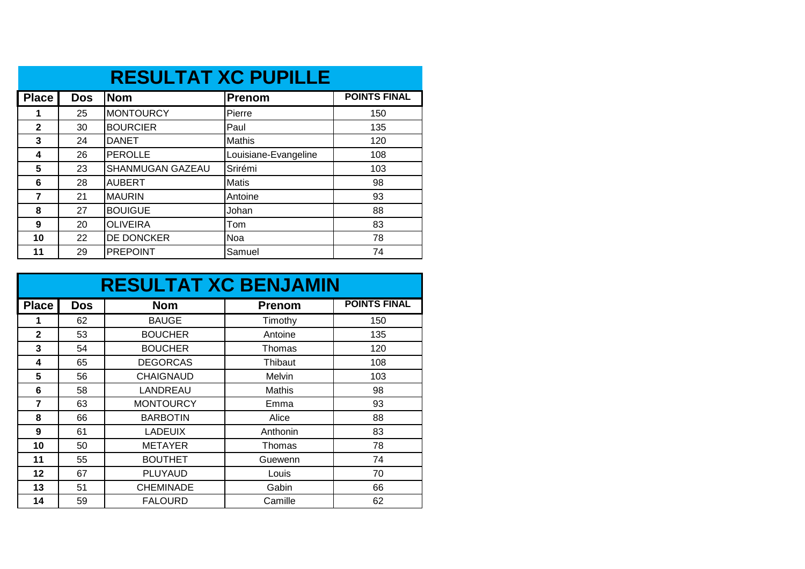|                | <b>RESULTAT XC PUPILLE</b> |                  |                      |                     |  |  |  |  |  |
|----------------|----------------------------|------------------|----------------------|---------------------|--|--|--|--|--|
| <b>Place</b>   | <b>Dos</b>                 | <b>Nom</b>       | <b>Prenom</b>        | <b>POINTS FINAL</b> |  |  |  |  |  |
| 1              | 25                         | <b>MONTOURCY</b> | Pierre               | 150                 |  |  |  |  |  |
| $\mathbf{2}$   | 30                         | <b>BOURCIER</b>  | Paul                 | 135                 |  |  |  |  |  |
| 3              | 24                         | <b>DANET</b>     | <b>Mathis</b>        | 120                 |  |  |  |  |  |
| 4              | 26                         | <b>PEROLLE</b>   | Louisiane-Evangeline | 108                 |  |  |  |  |  |
| 5              | 23                         | SHANMUGAN GAZEAU | Srirémi              | 103                 |  |  |  |  |  |
| 6              | 28                         | <b>AUBERT</b>    | <b>Matis</b>         | 98                  |  |  |  |  |  |
| $\overline{7}$ | 21                         | <b>MAURIN</b>    | Antoine              | 93                  |  |  |  |  |  |
| 8              | 27                         | <b>BOUIGUE</b>   | Johan                | 88                  |  |  |  |  |  |
| 9              | 20                         | <b>OLIVEIRA</b>  | Tom                  | 83                  |  |  |  |  |  |
| 10             | 22                         | DE DONCKER       | Noa                  | 78                  |  |  |  |  |  |
| 11             | 29                         | <b>PREPOINT</b>  | Samuel               | 74                  |  |  |  |  |  |

|              |            | <b>RESULTAT XC BENJAMIN</b> |               |                     |
|--------------|------------|-----------------------------|---------------|---------------------|
| <b>Place</b> | <b>Dos</b> | <b>Nom</b>                  | <b>Prenom</b> | <b>POINTS FINAL</b> |
|              | 62         | <b>BAUGE</b>                | Timothy       | 150                 |
| $\mathbf{2}$ | 53         | <b>BOUCHER</b>              | Antoine       | 135                 |
| 3            | 54         | <b>BOUCHER</b>              | Thomas        | 120                 |
| 4            | 65         | <b>DEGORCAS</b>             | Thibaut       | 108                 |
| 5            | 56         | <b>CHAIGNAUD</b>            | Melvin        | 103                 |
| 6            | 58         | LANDREAU                    | Mathis        | 98                  |
| 7            | 63         | <b>MONTOURCY</b>            | Emma          | 93                  |
| 8            | 66         | <b>BARBOTIN</b>             | Alice         | 88                  |
| 9            | 61         | <b>LADEUIX</b>              | Anthonin      | 83                  |
| 10           | 50         | <b>METAYER</b>              | Thomas        | 78                  |
| 11           | 55         | <b>BOUTHET</b>              | Guewenn       | 74                  |
| 12           | 67         | <b>PLUYAUD</b>              | Louis         | 70                  |
| 13           | 51         | <b>CHEMINADE</b>            | Gabin         | 66                  |
| 14           | 59         | <b>FALOURD</b>              | Camille       | 62                  |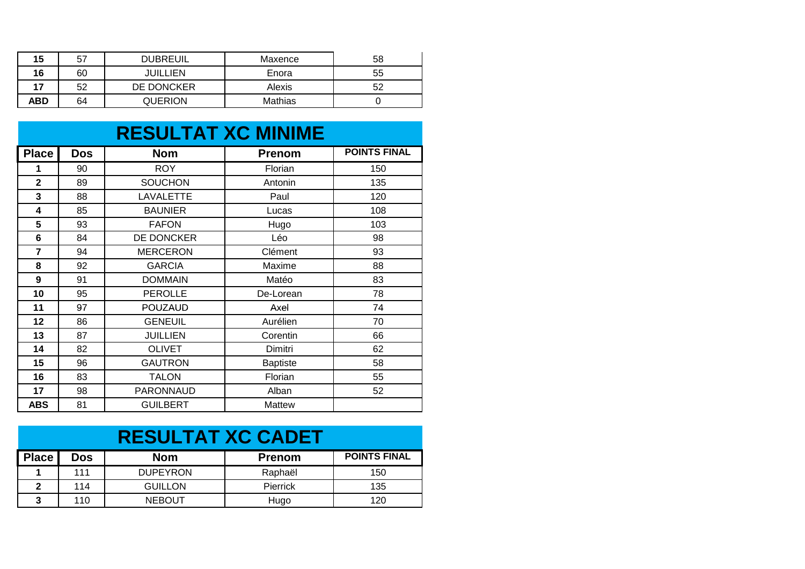| 15  | 57 | <b>DUBREUIL</b> | Maxence | 58 |
|-----|----|-----------------|---------|----|
| 16  | 60 | JUILLIEN        | Enora   | 55 |
| 17  | 52 | DE DONCKER      | Alexis  | 52 |
| ABD | 64 | <b>QUERION</b>  | Mathias |    |

#### **RESULTAT XC MINIME**

| <b>Place</b>     | <b>Dos</b> | <b>Nom</b>       | <b>Prenom</b>   | <b>POINTS FINAL</b> |
|------------------|------------|------------------|-----------------|---------------------|
| 1                | 90         | <b>ROY</b>       | Florian         | 150                 |
| $\overline{2}$   | 89         | <b>SOUCHON</b>   | Antonin         | 135                 |
| 3                | 88         | <b>LAVALETTE</b> | Paul            | 120                 |
| 4                | 85         | <b>BAUNIER</b>   | Lucas           | 108                 |
| 5                | 93         | <b>FAFON</b>     | Hugo            | 103                 |
| 6                | 84         | DE DONCKER       | Léo             | 98                  |
| 7                | 94         | <b>MERCERON</b>  | Clément         | 93                  |
| 8                | 92         | <b>GARCIA</b>    | Maxime          | 88                  |
| $\boldsymbol{9}$ | 91         | <b>DOMMAIN</b>   | Matéo           | 83                  |
| 10               | 95         | <b>PEROLLE</b>   | De-Lorean       | 78                  |
| 11               | 97         | <b>POUZAUD</b>   | Axel            | 74                  |
| 12               | 86         | <b>GENEUIL</b>   | Aurélien        | 70                  |
| 13               | 87         | <b>JUILLIEN</b>  | Corentin        | 66                  |
| 14               | 82         | <b>OLIVET</b>    | Dimitri         | 62                  |
| 15               | 96         | <b>GAUTRON</b>   | <b>Baptiste</b> | 58                  |
| 16               | 83         | <b>TALON</b>     | Florian         | 55                  |
| 17               | 98         | PARONNAUD        | Alban           | 52                  |
| <b>ABS</b>       | 81         | <b>GUILBERT</b>  | Mattew          |                     |

| <b>RESULTAT XC CADET</b> |     |                 |                 |                     |  |  |
|--------------------------|-----|-----------------|-----------------|---------------------|--|--|
| <b>Place</b>             | Dos | Nom             | <b>Prenom</b>   | <b>POINTS FINAL</b> |  |  |
|                          | 111 | <b>DUPEYRON</b> | Raphaël         | 150                 |  |  |
| $\mathbf{2}$             | 114 | <b>GUILLON</b>  | <b>Pierrick</b> | 135                 |  |  |
| 3                        | 110 | <b>NEBOUT</b>   | Hugo            | 120                 |  |  |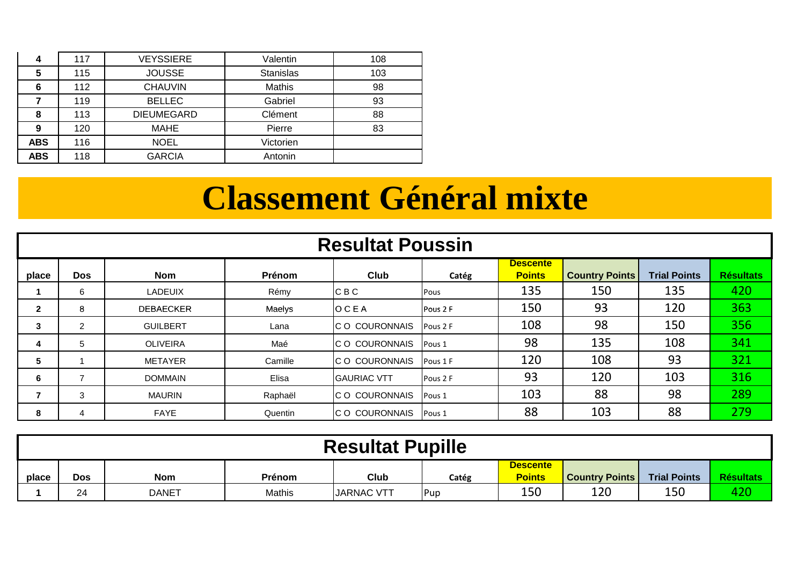| 4          | 117 | <b>VEYSSIERE</b>  | Valentin         | 108 |
|------------|-----|-------------------|------------------|-----|
| 5          | 115 | <b>JOUSSE</b>     | <b>Stanislas</b> | 103 |
| 6          | 112 | <b>CHAUVIN</b>    | Mathis           | 98  |
|            | 119 | <b>BELLEC</b>     | Gabriel          | 93  |
| 8          | 113 | <b>DIEUMEGARD</b> | Clément          | 88  |
| 9          | 120 | MAHE              | Pierre           | 83  |
| <b>ABS</b> | 116 | <b>NOEL</b>       | Victorien        |     |
| <b>ABS</b> | 118 | <b>GARCIA</b>     | Antonin          |     |

## **Classement Général mixte**

|              | <b>Resultat Poussin</b> |                  |         |                      |          |                                  |                       |                     |                  |
|--------------|-------------------------|------------------|---------|----------------------|----------|----------------------------------|-----------------------|---------------------|------------------|
| place        | <b>Dos</b>              | <b>Nom</b>       | Prénom  | Club                 | Catég    | <b>Descente</b><br><b>Points</b> | <b>Country Points</b> | <b>Trial Points</b> | <b>Résultats</b> |
|              | 6                       | <b>LADEUIX</b>   | Rémy    | IC B C               | Pous     | 135                              | 150                   | 135                 | 420              |
| $\mathbf{2}$ | 8                       | <b>DEBAECKER</b> | Maelys  | OCEA                 | Pous 2 F | 150                              | 93                    | 120                 | 363              |
| 3            | $\overline{2}$          | <b>GUILBERT</b>  | Lana    | IC O COURONNAIS      | Pous 2 F | 108                              | 98                    | 150                 | 356              |
| 4            | 5                       | <b>OLIVEIRA</b>  | Maé     | IC O COURONNAIS      | Pous 1   | 98                               | 135                   | 108                 | 341              |
| 5            |                         | <b>METAYER</b>   | Camille | IC O COURONNAIS      | Pous 1 F | 120                              | 108                   | 93                  | 321              |
| 6            |                         | <b>DOMMAIN</b>   | Elisa   | <b>IGAURIAC VTT</b>  | Pous 2 F | 93                               | 120                   | 103                 | 316              |
|              | 3                       | <b>MAURIN</b>    | Raphaël | IC O COURONNAIS      | Pous 1   | 103                              | 88                    | 98                  | 289              |
| 8            | 4                       | <b>FAYE</b>      | Quentin | <b>CO COURONNAIS</b> | Pous 1   | 88                               | 103                   | 88                  | 279              |

|       | <b>Resultat Pupille</b> |              |        |                   |       |                                  |                       |                     |                  |
|-------|-------------------------|--------------|--------|-------------------|-------|----------------------------------|-----------------------|---------------------|------------------|
| place | Dos                     | <b>Nom</b>   | Prénom | Club              | Catég | <b>Descente</b><br><b>Points</b> | <b>Country Points</b> | <b>Trial Points</b> | <b>Résultats</b> |
|       | 24                      | <b>DANET</b> | Mathis | <b>JARNAC VTT</b> | Pup   | 150                              | 120                   | 150                 | 420              |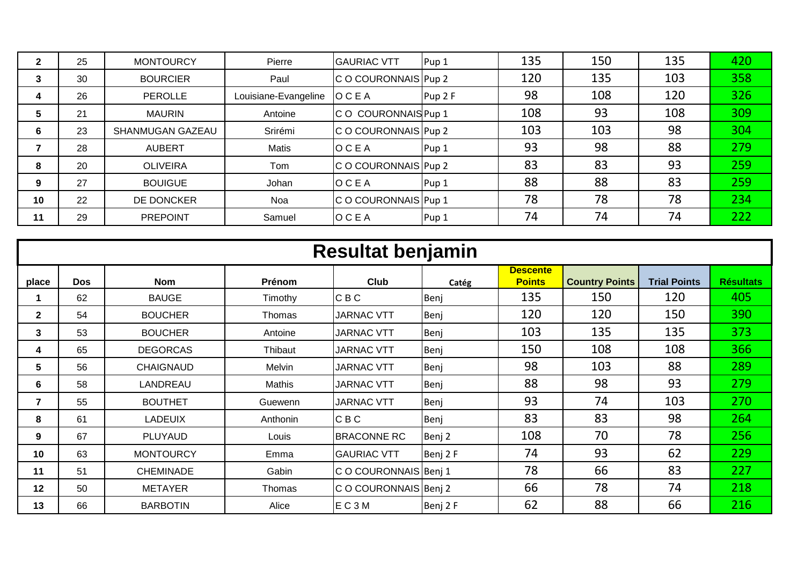| າ<br>◢ | 25 | <b>MONTOURCY</b> | Pierre               | <b>GAURIAC VTT</b>   | Pup <sub>1</sub> | 135 | 150 | 135 | 420 |
|--------|----|------------------|----------------------|----------------------|------------------|-----|-----|-----|-----|
| 3      | 30 | <b>BOURCIER</b>  | Paul                 | C O COURONNAIS Pup 2 |                  | 120 | 135 | 103 | 358 |
| 4      | 26 | PEROLLE          | Louisiane-Evangeline | OCEA                 | Pup 2 F          | 98  | 108 | 120 | 326 |
| 5      | 21 | <b>MAURIN</b>    | Antoine              | C O COURONNAIS Pup 1 |                  | 108 | 93  | 108 | 309 |
| 6      | 23 | SHANMUGAN GAZEAU | Srirémi              | C O COURONNAIS Pup 2 |                  | 103 | 103 | 98  | 304 |
|        | 28 | <b>AUBERT</b>    | Matis                | <b>OCEA</b>          | Pup 1            | 93  | 98  | 88  | 279 |
| 8      | 20 | <b>OLIVEIRA</b>  | Tom                  | C O COURONNAIS Pup 2 |                  | 83  | 83  | 93  | 259 |
| 9      | 27 | <b>BOUIGUE</b>   | Johan                | OCEA                 | Pup <sub>1</sub> | 88  | 88  | 83  | 259 |
| 10     | 22 | DE DONCKER       | Noa                  | C O COURONNAIS Pup 1 |                  | 78  | 78  | 78  | 234 |
| 11     | 29 | <b>PREPOINT</b>  | Samuel               | OCEA                 | Pup <sub>1</sub> | 74  | 74  | 74  | 222 |

|                |            |                  |          | <b>Resultat benjamin</b> |          |                                  |                       |                     |                  |
|----------------|------------|------------------|----------|--------------------------|----------|----------------------------------|-----------------------|---------------------|------------------|
| place          | <b>Dos</b> | <b>Nom</b>       | Prénom   | <b>Club</b>              | Catég    | <b>Descente</b><br><b>Points</b> | <b>Country Points</b> | <b>Trial Points</b> | <b>Résultats</b> |
|                | 62         | <b>BAUGE</b>     | Timothy  | <b>CBC</b>               | Benj     | 135                              | 150                   | 120                 | 405              |
| $\mathbf{2}$   | 54         | <b>BOUCHER</b>   | Thomas   | <b>JARNAC VTT</b>        | Benj     | 120                              | 120                   | 150                 | 390              |
| 3              | 53         | <b>BOUCHER</b>   | Antoine  | <b>JARNAC VTT</b>        | Benj     | 103                              | 135                   | 135                 | 373              |
| 4              | 65         | <b>DEGORCAS</b>  | Thibaut  | <b>JARNAC VTT</b>        | Benj     | 150                              | 108                   | 108                 | 366              |
| 5              | 56         | <b>CHAIGNAUD</b> | Melvin   | <b>JARNAC VTT</b>        | Benj     | 98                               | 103                   | 88                  | 289              |
| 6              | 58         | LANDREAU         | Mathis   | <b>JARNAC VTT</b>        | Benj     | 88                               | 98                    | 93                  | 279              |
| $\overline{7}$ | 55         | <b>BOUTHET</b>   | Guewenn  | <b>JARNAC VTT</b>        | Benj     | 93                               | 74                    | 103                 | 270              |
| 8              | 61         | <b>LADEUIX</b>   | Anthonin | <b>CBC</b>               | Benj     | 83                               | 83                    | 98                  | 264              |
| 9              | 67         | PLUYAUD          | Louis    | <b>BRACONNE RC</b>       | Benj 2   | 108                              | 70                    | 78                  | 256              |
| 10             | 63         | <b>MONTOURCY</b> | Emma     | <b>GAURIAC VTT</b>       | Benj 2 F | 74                               | 93                    | 62                  | 229              |
| 11             | 51         | <b>CHEMINADE</b> | Gabin    | C O COURONNAIS Benj 1    |          | 78                               | 66                    | 83                  | 227              |
| 12             | 50         | <b>METAYER</b>   | Thomas   | C O COURONNAIS Benj 2    |          | 66                               | 78                    | 74                  | 218              |
| 13             | 66         | <b>BARBOTIN</b>  | Alice    | EC <sub>3</sub> M        | Benj 2 F | 62                               | 88                    | 66                  | 216              |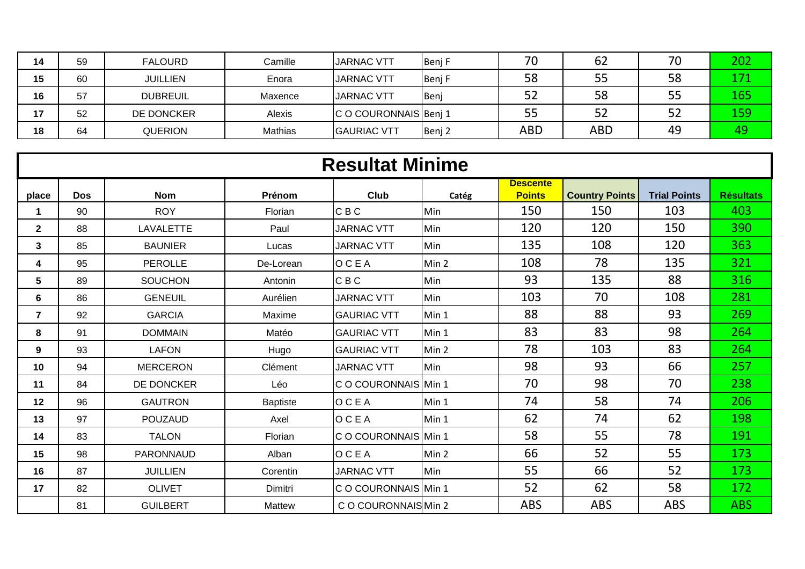| 14 | 59 | <b>FALOURD</b>  | Camille | <b>JARNAC VTT</b>     | Benj F | 70         | 62  | 70 | 202 |
|----|----|-----------------|---------|-----------------------|--------|------------|-----|----|-----|
| 15 | 60 | <b>JUILLIEN</b> | Enora   | <b>JARNAC VTT</b>     | Benj F | 58         | 55  | 58 | 171 |
| 16 | 57 | <b>DUBREUIL</b> | Maxence | <b>JARNAC VTT</b>     | Benj   | ЭZ         | 58  | 55 | 165 |
| 17 | 52 | DE DONCKER      | Alexis  | C O COURONNAIS Benj 1 |        | ככ         | 52  | 52 | 159 |
| 18 | 64 | <b>QUERION</b>  | Mathias | <b>GAURIAC VTT</b>    | Benj 2 | <b>ABD</b> | ABD | 49 |     |

|                | <b>Resultat Minime</b> |                  |                 |                      |       |                                  |                       |                     |                  |  |  |  |
|----------------|------------------------|------------------|-----------------|----------------------|-------|----------------------------------|-----------------------|---------------------|------------------|--|--|--|
| place          | <b>Dos</b>             | <b>Nom</b>       | Prénom          | Club                 | Catég | <b>Descente</b><br><b>Points</b> | <b>Country Points</b> | <b>Trial Points</b> | <b>Résultats</b> |  |  |  |
| -1             | 90                     | <b>ROY</b>       | Florian         | <b>CBC</b>           | Min   | 150                              | 150                   | 103                 | 403              |  |  |  |
| $\overline{2}$ | 88                     | <b>LAVALETTE</b> | Paul            | <b>JARNAC VTT</b>    | Min   | 120                              | 120                   | 150                 | 390              |  |  |  |
| 3              | 85                     | <b>BAUNIER</b>   | Lucas           | <b>JARNAC VTT</b>    | Min   | 135                              | 108                   | 120                 | 363              |  |  |  |
| 4              | 95                     | <b>PEROLLE</b>   | De-Lorean       | <b>OCEA</b>          | Min 2 | 108                              | 78                    | 135                 | 321              |  |  |  |
| 5              | 89                     | <b>SOUCHON</b>   | Antonin         | <b>CBC</b>           | Min   | 93                               | 135                   | 88                  | 316              |  |  |  |
| 6              | 86                     | <b>GENEUIL</b>   | Aurélien        | <b>JARNAC VTT</b>    | Min   | 103                              | 70                    | 108                 | 281              |  |  |  |
| $\overline{7}$ | 92                     | <b>GARCIA</b>    | Maxime          | <b>GAURIAC VTT</b>   | Min 1 | 88                               | 88                    | 93                  | 269              |  |  |  |
| 8              | 91                     | <b>DOMMAIN</b>   | Matéo           | <b>GAURIAC VTT</b>   | Min 1 | 83                               | 83                    | 98                  | 264              |  |  |  |
| 9              | 93                     | <b>LAFON</b>     | Hugo            | <b>GAURIAC VTT</b>   | Min 2 | 78                               | 103                   | 83                  | 264              |  |  |  |
| 10             | 94                     | <b>MERCERON</b>  | Clément         | <b>JARNAC VTT</b>    | Min   | 98                               | 93                    | 66                  | 257              |  |  |  |
| 11             | 84                     | DE DONCKER       | Léo             | C O COURONNAIS Min 1 |       | 70                               | 98                    | 70                  | 238              |  |  |  |
| 12             | 96                     | <b>GAUTRON</b>   | <b>Baptiste</b> | <b>OCEA</b>          | Min 1 | 74                               | 58                    | 74                  | 206              |  |  |  |
| 13             | 97                     | <b>POUZAUD</b>   | Axel            | <b>OCEA</b>          | Min 1 | 62                               | 74                    | 62                  | 198              |  |  |  |
| 14             | 83                     | <b>TALON</b>     | Florian         | C O COURONNAIS Min 1 |       | 58                               | 55                    | 78                  | 191              |  |  |  |
| 15             | 98                     | PARONNAUD        | Alban           | <b>OCEA</b>          | Min 2 | 66                               | 52                    | 55                  | 173              |  |  |  |
| 16             | 87                     | <b>JUILLIEN</b>  | Corentin        | <b>JARNAC VTT</b>    | Min   | 55                               | 66                    | 52                  | 173              |  |  |  |
| 17             | 82                     | <b>OLIVET</b>    | Dimitri         | C O COURONNAIS Min 1 |       | 52                               | 62                    | 58                  | 172              |  |  |  |
|                | 81                     | <b>GUILBERT</b>  | Mattew          | C O COURONNAIS Min 2 |       | <b>ABS</b>                       | <b>ABS</b>            | <b>ABS</b>          | <b>ABS</b>       |  |  |  |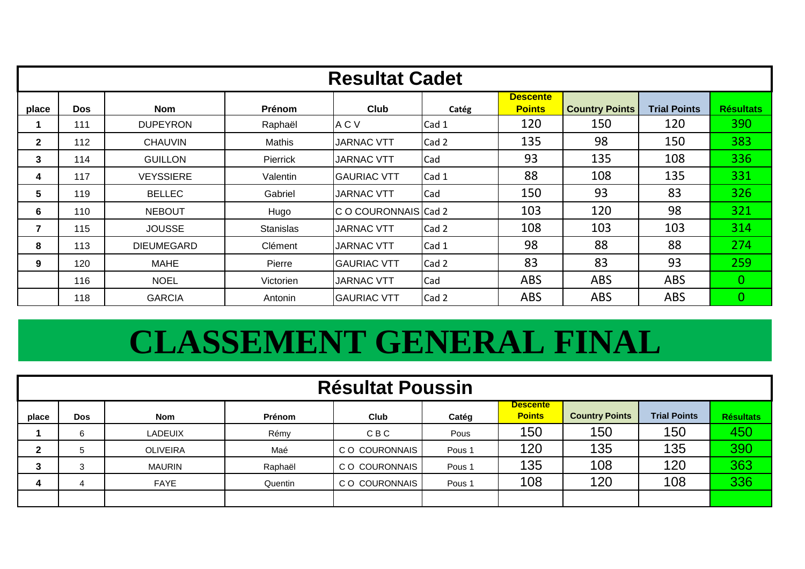|              |            |                   |                  | <b>Resultat Cadet</b> |       |                                  |                       |                     |                  |
|--------------|------------|-------------------|------------------|-----------------------|-------|----------------------------------|-----------------------|---------------------|------------------|
| place        | <b>Dos</b> | <b>Nom</b>        | Prénom           | <b>Club</b>           | Catég | <b>Descente</b><br><b>Points</b> | <b>Country Points</b> | <b>Trial Points</b> | <b>Résultats</b> |
|              | 111        | <b>DUPEYRON</b>   | Raphaël          | A C V                 | Cad 1 | 120                              | 150                   | 120                 | 390              |
| $\mathbf{2}$ | 112        | <b>CHAUVIN</b>    | Mathis           | <b>JARNAC VTT</b>     | Cad 2 | 135                              | 98                    | 150                 | 383              |
| 3            | 114        | <b>GUILLON</b>    | Pierrick         | JARNAC VTT            | Cad   | 93                               | 135                   | 108                 | 336              |
| 4            | 117        | <b>VEYSSIERE</b>  | Valentin         | <b>GAURIAC VTT</b>    | Cad 1 | 88                               | 108                   | 135                 | 331              |
| 5            | 119        | <b>BELLEC</b>     | Gabriel          | <b>JARNAC VTT</b>     | Cad   | 150                              | 93                    | 83                  | 326              |
| 6            | 110        | <b>NEBOUT</b>     | Hugo             | C O COURONNAIS Cad 2  |       | 103                              | 120                   | 98                  | 321              |
| 7            | 115        | <b>JOUSSE</b>     | <b>Stanislas</b> | <b>JARNAC VTT</b>     | Cad 2 | 108                              | 103                   | 103                 | 314              |
| 8            | 113        | <b>DIEUMEGARD</b> | Clément          | <b>JARNAC VTT</b>     | Cad 1 | 98                               | 88                    | 88                  | 274              |
| 9            | 120        | <b>MAHE</b>       | Pierre           | <b>GAURIAC VTT</b>    | Cad 2 | 83                               | 83                    | 93                  | 259              |
|              | 116        | <b>NOEL</b>       | Victorien        | <b>JARNAC VTT</b>     | Cad   | <b>ABS</b>                       | <b>ABS</b>            | <b>ABS</b>          | 0                |
|              | 118        | <b>GARCIA</b>     | Antonin          | <b>GAURIAC VTT</b>    | Cad 2 | <b>ABS</b>                       | <b>ABS</b>            | <b>ABS</b>          | $\mathbf{0}$     |

# **CLASSEMENT GENERAL FINAL**

|       | <b>Résultat Poussin</b> |                 |         |                |                   |                                  |                       |                     |                  |  |  |
|-------|-------------------------|-----------------|---------|----------------|-------------------|----------------------------------|-----------------------|---------------------|------------------|--|--|
| place | <b>Dos</b>              | <b>Nom</b>      | Prénom  | <b>Club</b>    | Catég             | <b>Descente</b><br><b>Points</b> | <b>Country Points</b> | <b>Trial Points</b> | <b>Résultats</b> |  |  |
|       | 6                       | LADEUIX         | Rémy    | <b>CBC</b>     | Pous              | 150                              | 150                   | 150                 | 450              |  |  |
| ົ     | 5                       | <b>OLIVEIRA</b> | Maé     | C O COURONNAIS | Pous <sub>1</sub> | 120                              | 135                   | 135                 | 390              |  |  |
| 3     | $\sim$                  | MAURIN          | Raphaël | C O COURONNAIS | Pous <sub>1</sub> | 135                              | 108                   | 120                 | 363              |  |  |
| 4     | 4                       | FAYE            | Quentin | C O COURONNAIS | Pous <sub>1</sub> | 108                              | 120                   | 108                 | 336              |  |  |
|       |                         |                 |         |                |                   |                                  |                       |                     |                  |  |  |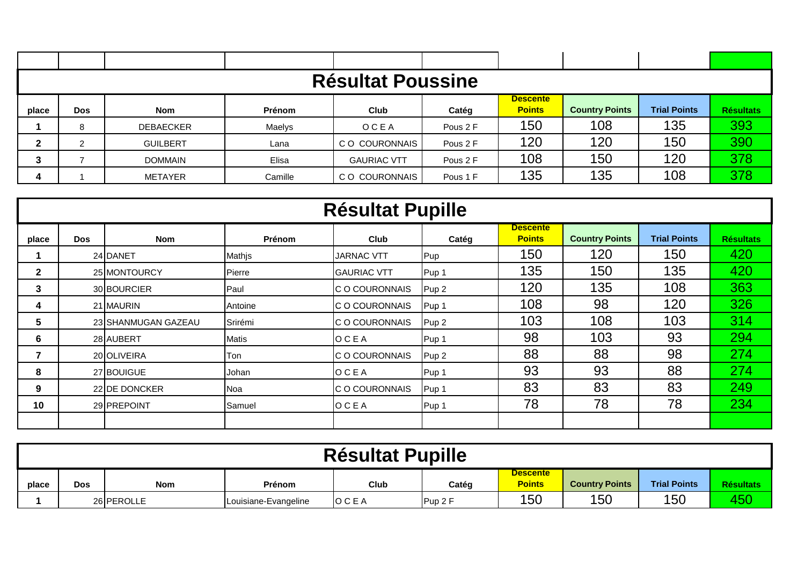|              |            |                  |         | <b>Résultat Poussine</b> |          |                                  |                       |                     |                  |
|--------------|------------|------------------|---------|--------------------------|----------|----------------------------------|-----------------------|---------------------|------------------|
|              |            |                  | Prénom  |                          |          | <b>Descente</b><br><b>Points</b> | <b>Country Points</b> | <b>Trial Points</b> | <b>Résultats</b> |
| place        | <b>Dos</b> | <b>Nom</b>       |         | Club                     | Catég    |                                  |                       |                     |                  |
|              | 8          | <b>DEBAECKER</b> | Maelys  | OCEA                     | Pous 2 F | 150                              | 108                   | 135                 | 393              |
| $\mathbf{2}$ | 2          | <b>GUILBERT</b>  | Lana    | C O COURONNAIS           | Pous 2 F | 120                              | 120                   | 150                 | 390              |
| 3            |            | <b>DOMMAIN</b>   | Elisa   | <b>GAURIAC VTT</b>       | Pous 2 F | 108                              | 150                   | 120                 | 378              |
|              |            | METAYER          | Camille | CO COURONNAIS            | Pous 1 F | 135                              | 135                   | 108                 | 378              |

|              |            |                     |         | <b>Résultat Pupille</b> |                  |                                  |                       |                     |                  |
|--------------|------------|---------------------|---------|-------------------------|------------------|----------------------------------|-----------------------|---------------------|------------------|
| place        | <b>Dos</b> | Nom                 | Prénom  | <b>Club</b>             | Catég            | <b>Descente</b><br><b>Points</b> | <b>Country Points</b> | <b>Trial Points</b> | <b>Résultats</b> |
|              |            | 24 DANET            | Mathjs  | <b>JARNAC VTT</b>       | Pup              | 150                              | 120                   | 150                 | 420              |
| $\mathbf{2}$ |            | 25 MONTOURCY        | Pierre  | <b>GAURIAC VTT</b>      | Pup 1            | 135                              | 150                   | 135                 | 420              |
| 3            |            | 30 BOURCIER         | Paul    | C O COURONNAIS          | Pup <sub>2</sub> | 120                              | 135                   | 108                 | 363              |
| 4            |            | 21 MAURIN           | Antoine | IC O COURONNAIS         | Pup 1            | 108                              | 98                    | 120                 | 326              |
| 5            |            | 23 SHANMUGAN GAZEAU | Srirémi | C O COURONNAIS          | Pup <sub>2</sub> | 103                              | 108                   | 103                 | 314              |
| 6            |            | 28 AUBERT           | Matis   | OCEA                    | Pup 1            | 98                               | 103                   | 93                  | 294              |
|              |            | 20 OLIVEIRA         | Ton     | C O COURONNAIS          | Pup <sub>2</sub> | 88                               | 88                    | 98                  | 274              |
| 8            |            | 27 BOUIGUE          | Johan   | <b>OCEA</b>             | Pup 1            | 93                               | 93                    | 88                  | 274              |
| 9            |            | 22 IDE DONCKER      | Noa     | C O COURONNAIS          | Pup 1            | 83                               | 83                    | 83                  | 249              |
| 10           |            | 29 PREPOINT         | Samuel  | OCEA                    | Pup 1            | 78                               | 78                    | 78                  | 234              |
|              |            |                     |         |                         |                  |                                  |                       |                     |                  |

|       | <b>Résultat Pupille</b>                                                                                                                       |  |  |  |  |  |  |  |  |  |  |  |
|-------|-----------------------------------------------------------------------------------------------------------------------------------------------|--|--|--|--|--|--|--|--|--|--|--|
| place | <b>Descente</b><br><b>Points</b><br><b>Trial Points</b><br><b>Country Points</b><br><b>Résultats</b><br>Club<br>Catég<br>Nom<br>Dos<br>Prénom |  |  |  |  |  |  |  |  |  |  |  |
|       | 450<br>150<br>150<br>150<br>26 PEROLLE<br>IOCEA<br>Pup 2F<br>Louisiane-Evangeline                                                             |  |  |  |  |  |  |  |  |  |  |  |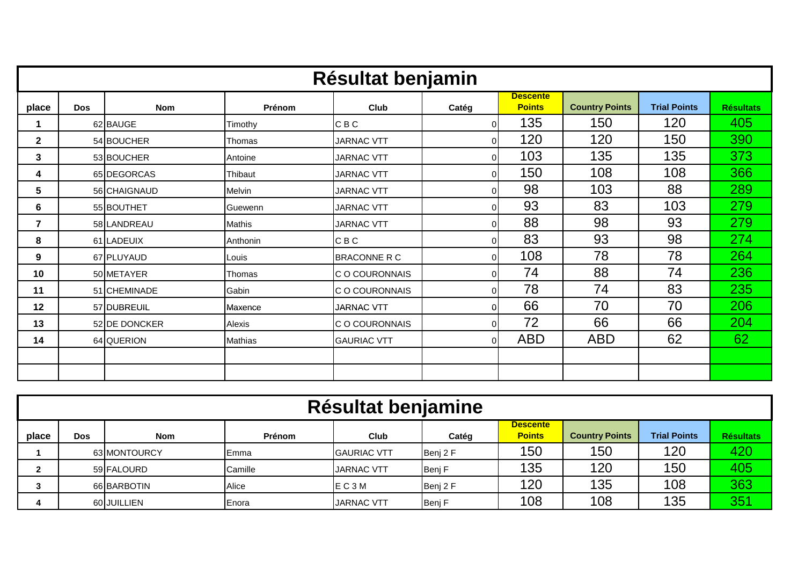|       | Résultat benjamin |               |                |                       |                |                                  |                       |                     |                  |  |  |  |
|-------|-------------------|---------------|----------------|-----------------------|----------------|----------------------------------|-----------------------|---------------------|------------------|--|--|--|
| place | <b>Dos</b>        | <b>Nom</b>    | Prénom         | Club                  | Catég          | <b>Descente</b><br><b>Points</b> | <b>Country Points</b> | <b>Trial Points</b> | <b>Résultats</b> |  |  |  |
| 1     |                   | 62 BAUGE      | Timothy        | C B C                 | $\Omega$       | 135                              | 150                   | 120                 | 405              |  |  |  |
| 2     |                   | 54 BOUCHER    | Thomas         | <b>JARNAC VTT</b>     | $\Omega$       | 120                              | 120                   | 150                 | 390              |  |  |  |
| 3     |                   | 53 BOUCHER    | Antoine        | <b>JARNAC VTT</b>     | $\Omega$       | 103                              | 135                   | 135                 | 373              |  |  |  |
| 4     |                   | 65 DEGORCAS   | Thibaut        | <b>JARNAC VTT</b>     | $\Omega$       | 150                              | 108                   | 108                 | 366              |  |  |  |
| 5     |                   | 56 CHAIGNAUD  | Melvin         | <b>JARNAC VTT</b>     | $\Omega$       | 98                               | 103                   | 88                  | 289              |  |  |  |
| 6     |                   | 55 BOUTHET    | Guewenn        | <b>JARNAC VTT</b>     | $\Omega$       | 93                               | 83                    | 103                 | 279              |  |  |  |
| 7     |                   | 58 LANDREAU   | Mathis         | <b>JARNAC VTT</b>     | $\Omega$       | 88                               | 98                    | 93                  | 279              |  |  |  |
| 8     |                   | 61 LADEUIX    | Anthonin       | C B C                 | $\Omega$       | 83                               | 93                    | 98                  | 274              |  |  |  |
| 9     |                   | 67 PLUYAUD    | Louis          | <b>BRACONNE R C</b>   | $\Omega$       | 108                              | 78                    | 78                  | 264              |  |  |  |
| 10    |                   | 50 METAYER    | Thomas         | <b>C O COURONNAIS</b> | $\Omega$       | 74                               | 88                    | 74                  | 236              |  |  |  |
| 11    |                   | 51 CHEMINADE  | Gabin          | C O COURONNAIS        | $\overline{0}$ | 78                               | 74                    | 83                  | 235              |  |  |  |
| 12    |                   | 57 DUBREUIL   | Maxence        | <b>JARNAC VTT</b>     | $\Omega$       | 66                               | 70                    | 70                  | 206              |  |  |  |
| 13    |                   | 52 DE DONCKER | Alexis         | C O COURONNAIS        | $\Omega$       | 72                               | 66                    | 66                  | 204              |  |  |  |
| 14    |                   | 64 QUERION    | <b>Mathias</b> | <b>GAURIAC VTT</b>    | $\overline{0}$ | <b>ABD</b>                       | <b>ABD</b>            | 62                  | 62               |  |  |  |
|       |                   |               |                |                       |                |                                  |                       |                     |                  |  |  |  |
|       |                   |               |                |                       |                |                                  |                       |                     |                  |  |  |  |

|       | Résultat benjamine |              |               |                    |          |                                  |                       |                     |                  |  |  |
|-------|--------------------|--------------|---------------|--------------------|----------|----------------------------------|-----------------------|---------------------|------------------|--|--|
| place | Dos                | <b>Nom</b>   | Prénom        | Club               | Catég    | <b>Descente</b><br><b>Points</b> | <b>Country Points</b> | <b>Trial Points</b> | <b>Résultats</b> |  |  |
|       |                    | 63 MONTOURCY | <b>IEmma</b>  | <b>GAURIAC VTT</b> | Benj 2 F | 150                              | 150                   | 120                 | 420              |  |  |
|       |                    | 59 FALOURD   | Camille       | <b>JARNAC VTT</b>  | Benj F   | 135                              | 120                   | 150                 | 405              |  |  |
|       |                    | 66 BARBOTIN  | Alice         | IE C 3 M           | Benj 2 F | 120                              | 135                   | 108                 | 363              |  |  |
|       |                    | 60 JUILLIEN  | <b>IEnora</b> | <b>JARNAC VTT</b>  | Benj F   | 108                              | 108                   | 135                 | 351              |  |  |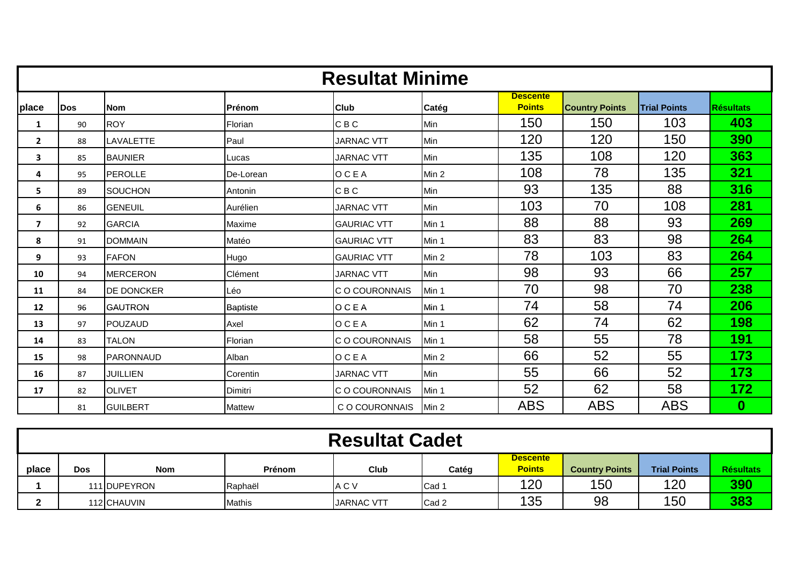|              |             |                 |                 | <b>Resultat Minime</b> |       |                                  |                       |                     |                  |
|--------------|-------------|-----------------|-----------------|------------------------|-------|----------------------------------|-----------------------|---------------------|------------------|
| place        | <b>IDos</b> | <b>Nom</b>      | Prénom          | <b>Club</b>            | Catég | <b>Descente</b><br><b>Points</b> | <b>Country Points</b> | <b>Trial Points</b> | <b>Résultats</b> |
| 1            | 90          | <b>ROY</b>      | Florian         | <b>CBC</b>             | Min   | 150                              | 150                   | 103                 | 403              |
| $\mathbf{2}$ | 88          | LAVALETTE       | Paul            | <b>JARNAC VTT</b>      | Min   | 120                              | 120                   | 150                 | 390              |
| 3            | 85          | <b>BAUNIER</b>  | Lucas           | <b>JARNAC VTT</b>      | Min   | 135                              | 108                   | 120                 | 363              |
| 4            | 95          | <b>PEROLLE</b>  | De-Lorean       | <b>OCEA</b>            | Min 2 | 108                              | 78                    | 135                 | 321              |
| 5            | 89          | <b>SOUCHON</b>  | Antonin         | CBC                    | Min   | 93                               | 135                   | 88                  | 316              |
| 6            | 86          | <b>GENEUIL</b>  | Aurélien        | <b>JARNAC VTT</b>      | Min   | 103                              | 70                    | 108                 | 281              |
| 7            | 92          | <b>GARCIA</b>   | Maxime          | <b>GAURIAC VTT</b>     | Min 1 | 88                               | 88                    | 93                  | 269              |
| 8            | 91          | <b>DOMMAIN</b>  | Matéo           | <b>GAURIAC VTT</b>     | Min 1 | 83                               | 83                    | 98                  | 264              |
| 9            | 93          | <b>FAFON</b>    | Hugo            | <b>GAURIAC VTT</b>     | Min 2 | 78                               | 103                   | 83                  | 264              |
| 10           | 94          | <b>MERCERON</b> | Clément         | <b>JARNAC VTT</b>      | Min   | 98                               | 93                    | 66                  | 257              |
| 11           | 84          | DE DONCKER      | Léo             | C O COURONNAIS         | Min 1 | 70                               | 98                    | 70                  | 238              |
| 12           | 96          | <b>GAUTRON</b>  | <b>Baptiste</b> | <b>OCEA</b>            | Min 1 | 74                               | 58                    | 74                  | 206              |
| 13           | 97          | POUZAUD         | Axel            | OCEA                   | Min 1 | 62                               | 74                    | 62                  | 198              |
| 14           | 83          | <b>TALON</b>    | Florian         | C O COURONNAIS         | Min 1 | 58                               | 55                    | 78                  | 191              |
| 15           | 98          | PARONNAUD       | Alban           | <b>OCEA</b>            | Min 2 | 66                               | 52                    | 55                  | 173              |
| 16           | 87          | <b>JUILLIEN</b> | Corentin        | <b>JARNAC VTT</b>      | Min   | 55                               | 66                    | 52                  | 173              |
| 17           | 82          | <b>OLIVET</b>   | Dimitri         | C O COURONNAIS         | Min 1 | 52                               | 62                    | 58                  | 172              |
|              | 81          | <b>GUILBERT</b> | <b>Mattew</b>   | C O COURONNAIS         | Min 2 | <b>ABS</b>                       | <b>ABS</b>            | <b>ABS</b>          | $\bf{0}$         |

|       | <b>Resultat Cadet</b> |              |               |                   |                  |                                  |                       |                     |                  |  |  |  |
|-------|-----------------------|--------------|---------------|-------------------|------------------|----------------------------------|-----------------------|---------------------|------------------|--|--|--|
| place | <b>Dos</b>            | <b>Nom</b>   | Prénom        | <b>Club</b>       | Catéq            | <b>Descente</b><br><b>Points</b> | <b>Country Points</b> | <b>Trial Points</b> | <b>Résultats</b> |  |  |  |
|       |                       | 111 DUPEYRON | Raphaël       | A C V             | Cad 1            | 120                              | 150                   | 120                 | 390              |  |  |  |
|       |                       | 112 CHAUVIN  | <b>Mathis</b> | <b>JARNAC VTT</b> | Cad <sub>2</sub> | 135                              | 98                    | 150                 | 383              |  |  |  |